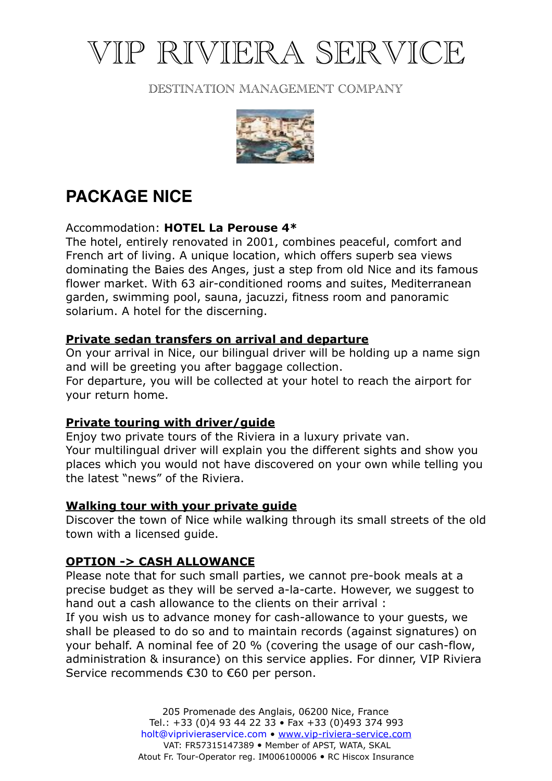# VIP RIVIERA SERVICE

# DESTINATION MANAGEMENT COMPANY



# **PACKAGE NICE**

# Accommodation: **HOTEL La Perouse 4\***

The hotel, entirely renovated in 2001, combines peaceful, comfort and French art of living. A unique location, which offers superb sea views dominating the Baies des Anges, just a step from old Nice and its famous flower market. With 63 air-conditioned rooms and suites, Mediterranean garden, swimming pool, sauna, jacuzzi, fitness room and panoramic solarium. A hotel for the discerning.

# **Private sedan transfers on arrival and departure**

On your arrival in Nice, our bilingual driver will be holding up a name sign and will be greeting you after baggage collection.

For departure, you will be collected at your hotel to reach the airport for your return home.

# **Private touring with driver/guide**

Enjoy two private tours of the Riviera in a luxury private van. Your multilingual driver will explain you the different sights and show you places which you would not have discovered on your own while telling you the latest "news" of the Riviera.

# **Walking tour with your private guide**

Discover the town of Nice while walking through its small streets of the old town with a licensed guide.

# **OPTION -> CASH ALLOWANCE**

Please note that for such small parties, we cannot pre-book meals at a precise budget as they will be served a-la-carte. However, we suggest to hand out a cash allowance to the clients on their arrival :

If you wish us to advance money for cash-allowance to your guests, we shall be pleased to do so and to maintain records (against signatures) on your behalf. A nominal fee of 20 % (covering the usage of our cash-flow, administration & insurance) on this service applies. For dinner, VIP Riviera Service recommends €30 to €60 per person.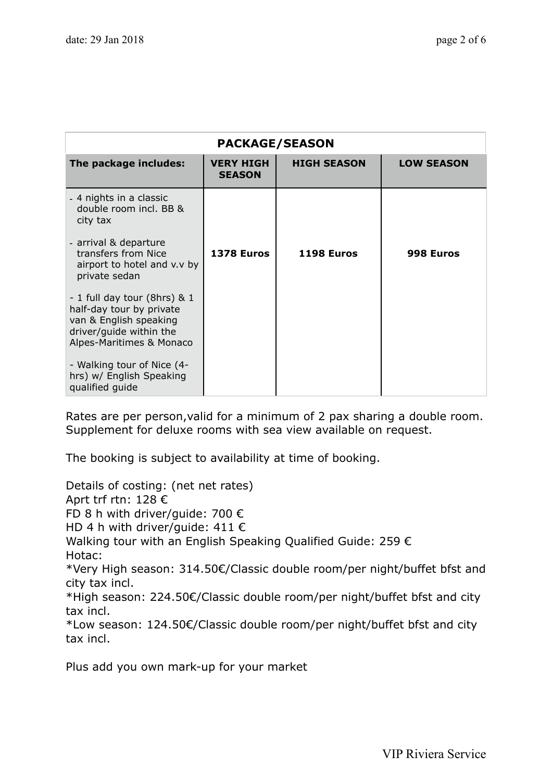| <b>PACKAGE/SEASON</b>                                                                                                                     |                                   |                    |                   |
|-------------------------------------------------------------------------------------------------------------------------------------------|-----------------------------------|--------------------|-------------------|
| The package includes:                                                                                                                     | <b>VERY HIGH</b><br><b>SEASON</b> | <b>HIGH SEASON</b> | <b>LOW SEASON</b> |
| - 4 nights in a classic<br>double room incl. BB &<br>city tax                                                                             |                                   |                    |                   |
| - arrival & departure<br>transfers from Nice<br>airport to hotel and v.v by<br>private sedan                                              | 1378 Euros                        | 1198 Euros         | 998 Euros         |
| - 1 full day tour (8hrs) & 1<br>half-day tour by private<br>van & English speaking<br>driver/guide within the<br>Alpes-Maritimes & Monaco |                                   |                    |                   |
| - Walking tour of Nice (4-<br>hrs) w/ English Speaking<br>qualified guide                                                                 |                                   |                    |                   |

Rates are per person,valid for a minimum of 2 pax sharing a double room. Supplement for deluxe rooms with sea view available on request.

The booking is subject to availability at time of booking.

Details of costing: (net net rates) Aprt trf rtn: 128 € FD 8 h with driver/guide: 700 € HD 4 h with driver/guide:  $411 \in$ Walking tour with an English Speaking Qualified Guide: 259 € Hotac: \*Very High season: 314.50€/Classic double room/per night/buffet bfst and city tax incl. \*High season: 224.50€/Classic double room/per night/buffet bfst and city tax incl. \*Low season: 124.50€/Classic double room/per night/buffet bfst and city tax incl.

Plus add you own mark-up for your market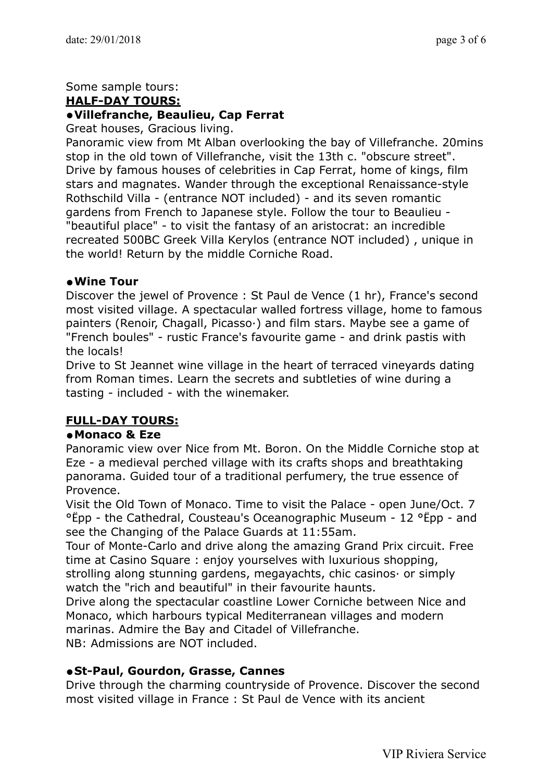### Some sample tours:

#### **HALF-DAY TOURS:**

#### **•Villefranche, Beaulieu, Cap Ferrat**

Great houses, Gracious living.

Panoramic view from Mt Alban overlooking the bay of Villefranche. 20mins stop in the old town of Villefranche, visit the 13th c. "obscure street". Drive by famous houses of celebrities in Cap Ferrat, home of kings, film stars and magnates. Wander through the exceptional Renaissance-style Rothschild Villa - (entrance NOT included) - and its seven romantic gardens from French to Japanese style. Follow the tour to Beaulieu - "beautiful place" - to visit the fantasy of an aristocrat: an incredible recreated 500BC Greek Villa Kerylos (entrance NOT included) , unique in the world! Return by the middle Corniche Road.

#### **•Wine Tour**

Discover the jewel of Provence : St Paul de Vence (1 hr), France's second most visited village. A spectacular walled fortress village, home to famous painters (Renoir, Chagall, Picasso·) and film stars. Maybe see a game of "French boules" - rustic France's favourite game - and drink pastis with the locals!

Drive to St Jeannet wine village in the heart of terraced vineyards dating from Roman times. Learn the secrets and subtleties of wine during a tasting - included - with the winemaker.

# **FULL-DAY TOURS:**

#### **•Monaco & Eze**

Panoramic view over Nice from Mt. Boron. On the Middle Corniche stop at Eze - a medieval perched village with its crafts shops and breathtaking panorama. Guided tour of a traditional perfumery, the true essence of Provence.

Visit the Old Town of Monaco. Time to visit the Palace - open June/Oct. 7 °Ëpp - the Cathedral, Cousteau's Oceanographic Museum - 12 °Ëpp - and see the Changing of the Palace Guards at 11:55am.

Tour of Monte-Carlo and drive along the amazing Grand Prix circuit. Free time at Casino Square : enjoy yourselves with luxurious shopping, strolling along stunning gardens, megayachts, chic casinos· or simply watch the "rich and beautiful" in their favourite haunts.

Drive along the spectacular coastline Lower Corniche between Nice and Monaco, which harbours typical Mediterranean villages and modern marinas. Admire the Bay and Citadel of Villefranche.

NB: Admissions are NOT included.

#### **•St-Paul, Gourdon, Grasse, Cannes**

Drive through the charming countryside of Provence. Discover the second most visited village in France : St Paul de Vence with its ancient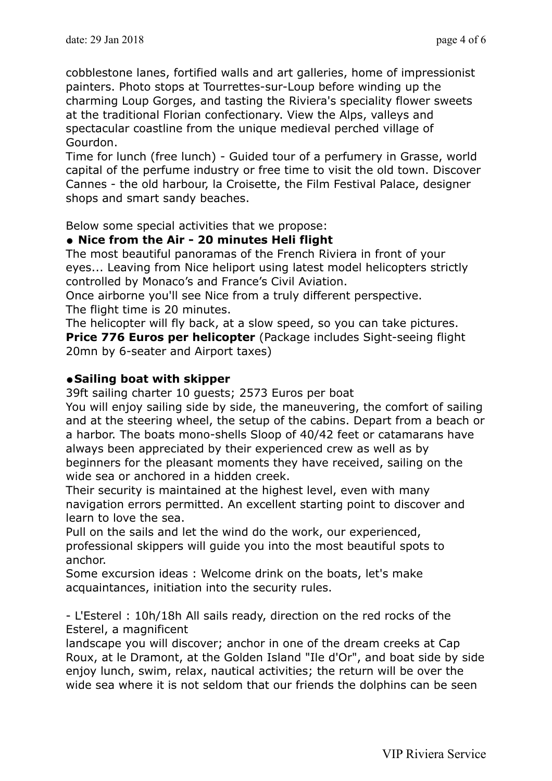cobblestone lanes, fortified walls and art galleries, home of impressionist painters. Photo stops at Tourrettes-sur-Loup before winding up the charming Loup Gorges, and tasting the Riviera's speciality flower sweets at the traditional Florian confectionary. View the Alps, valleys and spectacular coastline from the unique medieval perched village of Gourdon.

Time for lunch (free lunch) - Guided tour of a perfumery in Grasse, world capital of the perfume industry or free time to visit the old town. Discover Cannes - the old harbour, la Croisette, the Film Festival Palace, designer shops and smart sandy beaches.

Below some special activities that we propose:

# **• Nice from the Air - 20 minutes Heli flight**

The most beautiful panoramas of the French Riviera in front of your eyes... Leaving from Nice heliport using latest model helicopters strictly controlled by Monaco's and France's Civil Aviation.

Once airborne you'll see Nice from a truly different perspective. The flight time is 20 minutes.

The helicopter will fly back, at a slow speed, so you can take pictures. **Price 776 Euros per helicopter** (Package includes Sight-seeing flight 20mn by 6-seater and Airport taxes)

# **•Sailing boat with skipper**

39ft sailing charter 10 guests; 2573 Euros per boat

You will enjoy sailing side by side, the maneuvering, the comfort of sailing and at the steering wheel, the setup of the cabins. Depart from a beach or a harbor. The boats mono-shells Sloop of 40/42 feet or catamarans have always been appreciated by their experienced crew as well as by beginners for the pleasant moments they have received, sailing on the wide sea or anchored in a hidden creek.

Their security is maintained at the highest level, even with many navigation errors permitted. An excellent starting point to discover and learn to love the sea.

Pull on the sails and let the wind do the work, our experienced, professional skippers will guide you into the most beautiful spots to anchor.

Some excursion ideas : Welcome drink on the boats, let's make acquaintances, initiation into the security rules.

- L'Esterel : 10h/18h All sails ready, direction on the red rocks of the Esterel, a magnificent

landscape you will discover; anchor in one of the dream creeks at Cap Roux, at le Dramont, at the Golden Island "Ile d'Or", and boat side by side enjoy lunch, swim, relax, nautical activities; the return will be over the wide sea where it is not seldom that our friends the dolphins can be seen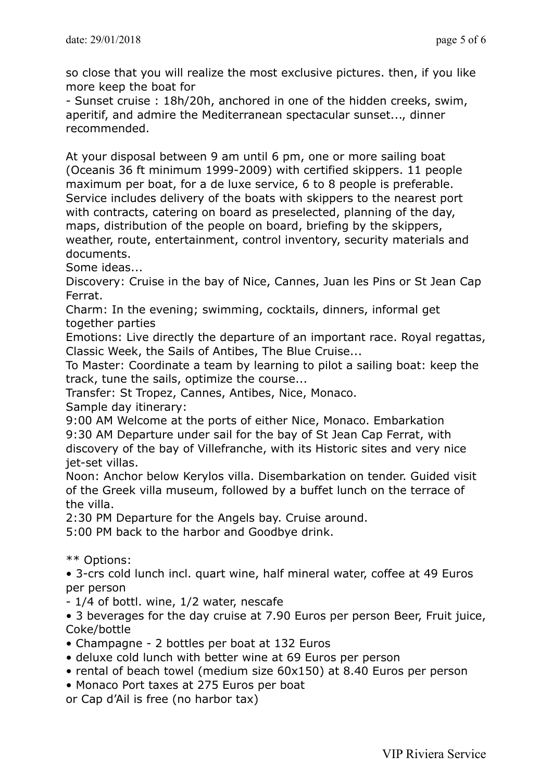so close that you will realize the most exclusive pictures. then, if you like more keep the boat for

- Sunset cruise : 18h/20h, anchored in one of the hidden creeks, swim, aperitif, and admire the Mediterranean spectacular sunset..., dinner recommended.

At your disposal between 9 am until 6 pm, one or more sailing boat (Oceanis 36 ft minimum 1999-2009) with certified skippers. 11 people maximum per boat, for a de luxe service, 6 to 8 people is preferable. Service includes delivery of the boats with skippers to the nearest port with contracts, catering on board as preselected, planning of the day, maps, distribution of the people on board, briefing by the skippers, weather, route, entertainment, control inventory, security materials and documents.

Some ideas...

Discovery: Cruise in the bay of Nice, Cannes, Juan les Pins or St Jean Cap Ferrat.

Charm: In the evening; swimming, cocktails, dinners, informal get together parties

Emotions: Live directly the departure of an important race. Royal regattas, Classic Week, the Sails of Antibes, The Blue Cruise...

To Master: Coordinate a team by learning to pilot a sailing boat: keep the track, tune the sails, optimize the course...

Transfer: St Tropez, Cannes, Antibes, Nice, Monaco.

Sample day itinerary:

9:00 AM Welcome at the ports of either Nice, Monaco. Embarkation 9:30 AM Departure under sail for the bay of St Jean Cap Ferrat, with discovery of the bay of Villefranche, with its Historic sites and very nice jet-set villas.

Noon: Anchor below Kerylos villa. Disembarkation on tender. Guided visit of the Greek villa museum, followed by a buffet lunch on the terrace of the villa.

2:30 PM Departure for the Angels bay. Cruise around.

5:00 PM back to the harbor and Goodbye drink.

\*\* Options:

• 3-crs cold lunch incl. quart wine, half mineral water, coffee at 49 Euros per person

- 1/4 of bottl. wine, 1/2 water, nescafe

• 3 beverages for the day cruise at 7.90 Euros per person Beer, Fruit juice, Coke/bottle

- Champagne 2 bottles per boat at 132 Euros
- deluxe cold lunch with better wine at 69 Euros per person
- rental of beach towel (medium size 60x150) at 8.40 Euros per person
- Monaco Port taxes at 275 Euros per boat

or Cap d'Ail is free (no harbor tax)